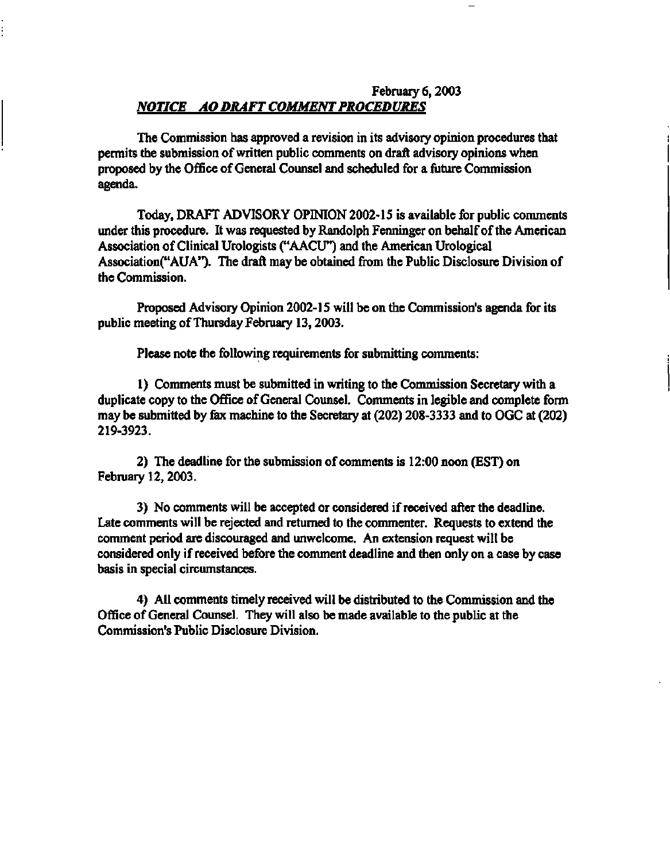## **February 6,2003**  *NOTICE AO DRAFT COMMENT PROCEDURES*

**The Commission has approved a revision in its advisory opinion procedures that permits the submission of written public comments on draft advisory opinions when proposed by the Office of General Counsel and scheduled for a future Commission agenda.** 

**Today, DRAFT ADVISORY OPINION 2002-15 is available for public comments under this procedure. It was requested by Randolph Fenninger on behalf of the American Association of Clinical Urologists ("AACU") and the American Urological Association("AUA"). The draft may be obtained from the Public Disclosure Division of the Commission.** 

**Proposed Advisory Opinion 2002-15 will be on the Commission's agenda for its public meeting of Thursday February 13,2003.** 

**Please note the following requirements for submitting comments:** 

**1) Comments must be submitted in writing to the Commission Secretary with a duplicate copy to the Office of General Counsel. Comments in legible and complete form may be submitted by fax machine to the Secretary at (202) 208-3333 and to OGC at (202) 219-3923.** 

**2) The deadline for the submission of comments is 12:00 noon (EST) on February 12,2003.** 

**3) No comments will be accepted or considered if received after the deadline. Late comments will be rejected and returned to the commenter. Requests to extend the comment period are discouraged and unwelcome. An extension request will be considered only if received before the comment deadline and then only on a case by case basis in special circumstances.** 

**4) All comments timely received will be distributed to the Commission and the Office of General Counsel. They will also be made available to the public at the Commission's Public Disclosure Division.**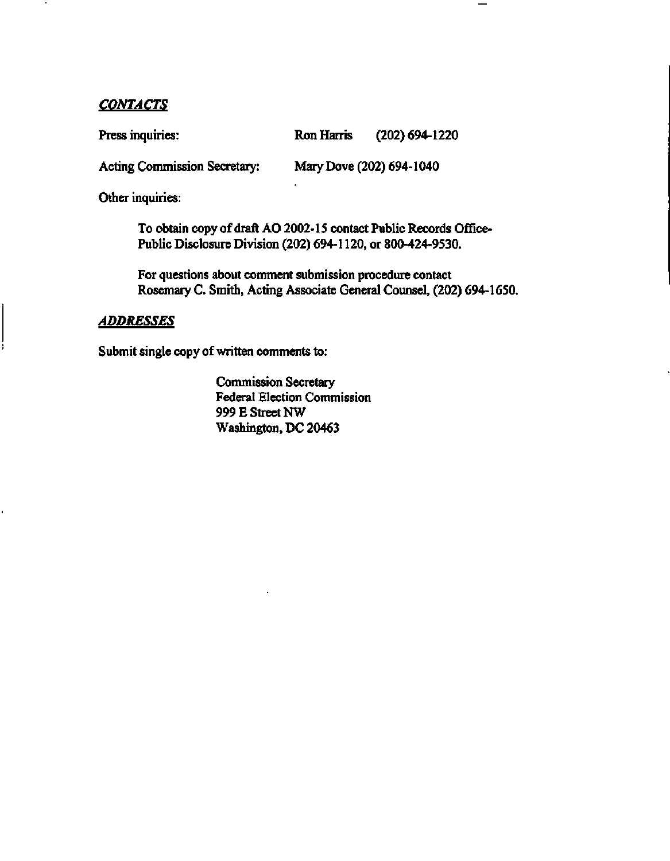### *CONTACTS*

**Press inquiries: Ron Harris (202) 694-1220** 

**Acting Commission Secretary: Mary Dove (202) 694-1040** 

**Other inquiries:** 

**To obtain copy of draft AO 2002-15 contact Public Records Office-Public Disclosure Division (202) 694-1120, or 800-424-9530.** 

**For questions about comment submission procedure contact Rosemary C. Smith, Acting Associate General Counsel, (202) 694-1650.** 

### *ADDRESSES*

**Submit single copy of written comments to:** 

**Commission Secretary Federal Election Commission 999 E Street NW Washington, DC 20463**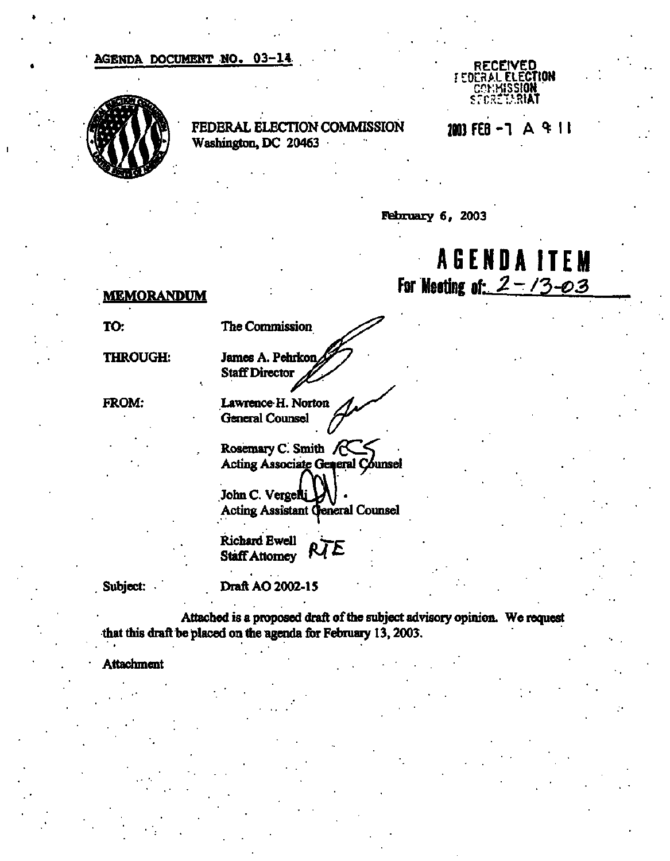### **AGENDA DOCUMENT NO. 03-14**



**FEDERAL ELECTION COMMISSION Washington, DC 20463** 



**2003 FEB - 1 A <\* 11** 

**February 6r 2003** 

# **AGENDAITE M For Meeting of:** *2-/3-Q3*

#### **MEMORANDUM**

**TO:** 

**The Commission** 

**THROUGH:** 

**FROM:** 

James A. Pehrkon **Staff Director** *^^* 

Lawrence H. Norton **General** Counsel

**Rosemary** *C.* **Smith** */QZJ^*  **Acting Associate eral Counsel** 

John C. Vergelli **Acting Assistant General Counsel** 

**Richard Ewell** *Q^ytz*  **Staff Attorney** 

**Subject:** 

**Draft AO 2002-15** 

**Attached is a proposed draft of the subject advisory opinion. We request that this draft be placed on the agenda for February 13,2003.** 

**Attachment**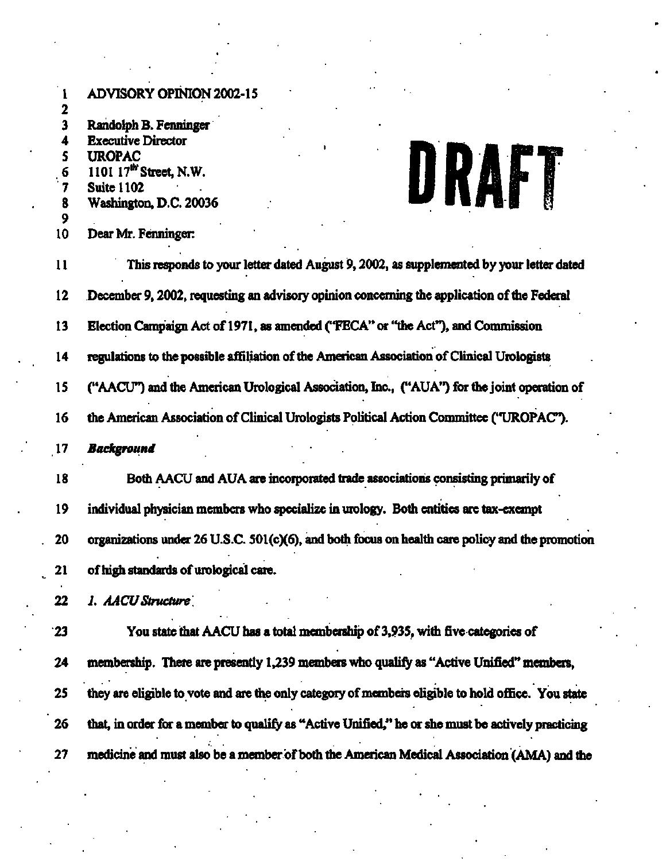| <b>ADVISORY OPINION 2002-15</b><br>1<br>2<br>3<br>Randolph B. Fenninger<br><b>Executive Director</b><br>4<br>S<br><b>UROPAC</b><br>URAFT<br>1101 17th Street, N.W.<br>6<br>7<br><b>Suite 1102</b><br>Washington, D.C. 20036<br>8<br>9<br>10<br>Dear Mr. Fenninger:<br>11<br>This responds to your letter dated August 9, 2002, as supplemented by your letter dated<br>12<br>December 9, 2002, requesting an advisory opinion concerning the application of the Federal<br>13<br>Election Campaign Act of 1971, as amended ("FECA" or "the Act"), and Commission<br>regulations to the possible affiliation of the American Association of Clinical Urologists<br>14<br>("AACU") and the American Urological Association, Inc., ("AUA") for the joint operation of<br>15<br>the American Association of Clinical Urologists Political Action Committee ("UROPAC").<br>16<br>$\overline{17}$<br><b>Background</b><br>Both AACU and AUA are incorporated trade associations consisting primarily of<br>18<br>19<br>individual physician members who specialize in urology. Both entities are tax-exempt<br>20<br>of high standards of urological care.<br>21<br>22<br>1. AACU Structure<br>You state that AACU has a total membership of 3,935, with five categories of<br>23<br>membership. There are presently 1,239 members who qualify as "Active Unified" members,<br>24<br>25<br>they are eligible to vote and are the only category of members eligible to hold office. You state<br>26<br>that, in order for a member to qualify as "Active Unified," he or she must be actively practicing | organizations under 26 U.S.C. 501(c)(6), and both focus on health care policy and the promotion<br>27<br>medicine and must also be a member of both the American Medical Association (AMA) and the |  |
|---------------------------------------------------------------------------------------------------------------------------------------------------------------------------------------------------------------------------------------------------------------------------------------------------------------------------------------------------------------------------------------------------------------------------------------------------------------------------------------------------------------------------------------------------------------------------------------------------------------------------------------------------------------------------------------------------------------------------------------------------------------------------------------------------------------------------------------------------------------------------------------------------------------------------------------------------------------------------------------------------------------------------------------------------------------------------------------------------------------------------------------------------------------------------------------------------------------------------------------------------------------------------------------------------------------------------------------------------------------------------------------------------------------------------------------------------------------------------------------------------------------------------------------------------------------------------------------------------|----------------------------------------------------------------------------------------------------------------------------------------------------------------------------------------------------|--|
|                                                                                                                                                                                                                                                                                                                                                                                                                                                                                                                                                                                                                                                                                                                                                                                                                                                                                                                                                                                                                                                                                                                                                                                                                                                                                                                                                                                                                                                                                                                                                                                                   |                                                                                                                                                                                                    |  |
|                                                                                                                                                                                                                                                                                                                                                                                                                                                                                                                                                                                                                                                                                                                                                                                                                                                                                                                                                                                                                                                                                                                                                                                                                                                                                                                                                                                                                                                                                                                                                                                                   |                                                                                                                                                                                                    |  |
|                                                                                                                                                                                                                                                                                                                                                                                                                                                                                                                                                                                                                                                                                                                                                                                                                                                                                                                                                                                                                                                                                                                                                                                                                                                                                                                                                                                                                                                                                                                                                                                                   |                                                                                                                                                                                                    |  |
|                                                                                                                                                                                                                                                                                                                                                                                                                                                                                                                                                                                                                                                                                                                                                                                                                                                                                                                                                                                                                                                                                                                                                                                                                                                                                                                                                                                                                                                                                                                                                                                                   |                                                                                                                                                                                                    |  |
|                                                                                                                                                                                                                                                                                                                                                                                                                                                                                                                                                                                                                                                                                                                                                                                                                                                                                                                                                                                                                                                                                                                                                                                                                                                                                                                                                                                                                                                                                                                                                                                                   |                                                                                                                                                                                                    |  |
|                                                                                                                                                                                                                                                                                                                                                                                                                                                                                                                                                                                                                                                                                                                                                                                                                                                                                                                                                                                                                                                                                                                                                                                                                                                                                                                                                                                                                                                                                                                                                                                                   |                                                                                                                                                                                                    |  |
|                                                                                                                                                                                                                                                                                                                                                                                                                                                                                                                                                                                                                                                                                                                                                                                                                                                                                                                                                                                                                                                                                                                                                                                                                                                                                                                                                                                                                                                                                                                                                                                                   |                                                                                                                                                                                                    |  |
|                                                                                                                                                                                                                                                                                                                                                                                                                                                                                                                                                                                                                                                                                                                                                                                                                                                                                                                                                                                                                                                                                                                                                                                                                                                                                                                                                                                                                                                                                                                                                                                                   |                                                                                                                                                                                                    |  |
|                                                                                                                                                                                                                                                                                                                                                                                                                                                                                                                                                                                                                                                                                                                                                                                                                                                                                                                                                                                                                                                                                                                                                                                                                                                                                                                                                                                                                                                                                                                                                                                                   |                                                                                                                                                                                                    |  |
|                                                                                                                                                                                                                                                                                                                                                                                                                                                                                                                                                                                                                                                                                                                                                                                                                                                                                                                                                                                                                                                                                                                                                                                                                                                                                                                                                                                                                                                                                                                                                                                                   |                                                                                                                                                                                                    |  |
|                                                                                                                                                                                                                                                                                                                                                                                                                                                                                                                                                                                                                                                                                                                                                                                                                                                                                                                                                                                                                                                                                                                                                                                                                                                                                                                                                                                                                                                                                                                                                                                                   |                                                                                                                                                                                                    |  |
|                                                                                                                                                                                                                                                                                                                                                                                                                                                                                                                                                                                                                                                                                                                                                                                                                                                                                                                                                                                                                                                                                                                                                                                                                                                                                                                                                                                                                                                                                                                                                                                                   |                                                                                                                                                                                                    |  |
|                                                                                                                                                                                                                                                                                                                                                                                                                                                                                                                                                                                                                                                                                                                                                                                                                                                                                                                                                                                                                                                                                                                                                                                                                                                                                                                                                                                                                                                                                                                                                                                                   |                                                                                                                                                                                                    |  |
|                                                                                                                                                                                                                                                                                                                                                                                                                                                                                                                                                                                                                                                                                                                                                                                                                                                                                                                                                                                                                                                                                                                                                                                                                                                                                                                                                                                                                                                                                                                                                                                                   |                                                                                                                                                                                                    |  |
|                                                                                                                                                                                                                                                                                                                                                                                                                                                                                                                                                                                                                                                                                                                                                                                                                                                                                                                                                                                                                                                                                                                                                                                                                                                                                                                                                                                                                                                                                                                                                                                                   |                                                                                                                                                                                                    |  |
|                                                                                                                                                                                                                                                                                                                                                                                                                                                                                                                                                                                                                                                                                                                                                                                                                                                                                                                                                                                                                                                                                                                                                                                                                                                                                                                                                                                                                                                                                                                                                                                                   |                                                                                                                                                                                                    |  |
|                                                                                                                                                                                                                                                                                                                                                                                                                                                                                                                                                                                                                                                                                                                                                                                                                                                                                                                                                                                                                                                                                                                                                                                                                                                                                                                                                                                                                                                                                                                                                                                                   |                                                                                                                                                                                                    |  |
|                                                                                                                                                                                                                                                                                                                                                                                                                                                                                                                                                                                                                                                                                                                                                                                                                                                                                                                                                                                                                                                                                                                                                                                                                                                                                                                                                                                                                                                                                                                                                                                                   |                                                                                                                                                                                                    |  |
|                                                                                                                                                                                                                                                                                                                                                                                                                                                                                                                                                                                                                                                                                                                                                                                                                                                                                                                                                                                                                                                                                                                                                                                                                                                                                                                                                                                                                                                                                                                                                                                                   |                                                                                                                                                                                                    |  |
|                                                                                                                                                                                                                                                                                                                                                                                                                                                                                                                                                                                                                                                                                                                                                                                                                                                                                                                                                                                                                                                                                                                                                                                                                                                                                                                                                                                                                                                                                                                                                                                                   |                                                                                                                                                                                                    |  |
|                                                                                                                                                                                                                                                                                                                                                                                                                                                                                                                                                                                                                                                                                                                                                                                                                                                                                                                                                                                                                                                                                                                                                                                                                                                                                                                                                                                                                                                                                                                                                                                                   |                                                                                                                                                                                                    |  |
|                                                                                                                                                                                                                                                                                                                                                                                                                                                                                                                                                                                                                                                                                                                                                                                                                                                                                                                                                                                                                                                                                                                                                                                                                                                                                                                                                                                                                                                                                                                                                                                                   |                                                                                                                                                                                                    |  |
|                                                                                                                                                                                                                                                                                                                                                                                                                                                                                                                                                                                                                                                                                                                                                                                                                                                                                                                                                                                                                                                                                                                                                                                                                                                                                                                                                                                                                                                                                                                                                                                                   |                                                                                                                                                                                                    |  |
|                                                                                                                                                                                                                                                                                                                                                                                                                                                                                                                                                                                                                                                                                                                                                                                                                                                                                                                                                                                                                                                                                                                                                                                                                                                                                                                                                                                                                                                                                                                                                                                                   |                                                                                                                                                                                                    |  |
|                                                                                                                                                                                                                                                                                                                                                                                                                                                                                                                                                                                                                                                                                                                                                                                                                                                                                                                                                                                                                                                                                                                                                                                                                                                                                                                                                                                                                                                                                                                                                                                                   |                                                                                                                                                                                                    |  |
|                                                                                                                                                                                                                                                                                                                                                                                                                                                                                                                                                                                                                                                                                                                                                                                                                                                                                                                                                                                                                                                                                                                                                                                                                                                                                                                                                                                                                                                                                                                                                                                                   |                                                                                                                                                                                                    |  |
|                                                                                                                                                                                                                                                                                                                                                                                                                                                                                                                                                                                                                                                                                                                                                                                                                                                                                                                                                                                                                                                                                                                                                                                                                                                                                                                                                                                                                                                                                                                                                                                                   |                                                                                                                                                                                                    |  |
|                                                                                                                                                                                                                                                                                                                                                                                                                                                                                                                                                                                                                                                                                                                                                                                                                                                                                                                                                                                                                                                                                                                                                                                                                                                                                                                                                                                                                                                                                                                                                                                                   |                                                                                                                                                                                                    |  |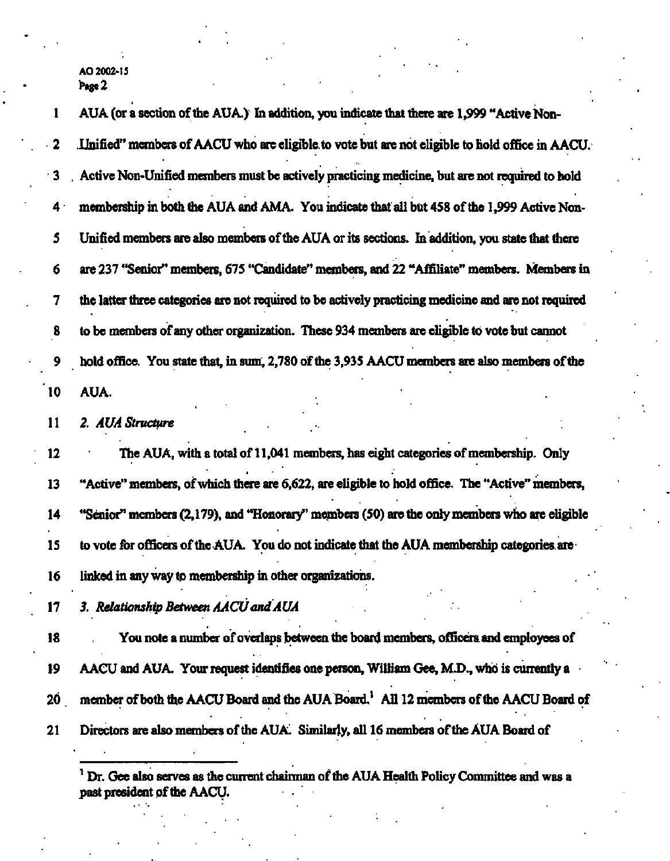1 AUA (or a section of the AUA.) In addition, you indicate that there are 1,999 "Active Non-**2 Unified" members of AACU who are eligible, to vote but are not eligible to hold office in AACU. 3 . Active Non-Unified members must be actively practicing medicine, but are not required to hold 4 membership in both the AUA and AMA. You indicate that all but 458 of the 1,999 Active Non-5 Unified members are also members of the AUA or its sections. In addition, you state that there 6 are 237 "Senior\*\* members, 675 "Candidate\*' members, and 22 "Affiliate\*' members. Members in 7 the latter three categories are not required to be actively practicing medicine and are not required 8 to be members of any other organization. These 934 members are eligible to vote but cannot 9 hold office. You state that, in sum, 2,780 of the 3,935 AACU members are also members of the 10 AUA.** 

**11** *2. AUA Structure* 

**12 The AUA, with a total of 11,041 members, has eight categories of membership. Only 13 "Active\*\* members, of which there are 6,622, are eligible to hold office. The "Active\*' members, 14 "Senior" members (2,179), and "Honorary\*' members (50) are the only members who are eligible 15 to vote for officers of the AUA. You do not indicate that the AUA membership categories, are 16 linked in any way to membership in other organizations.** 

**17** *3. Relationship Between AACU and AUA* 

**18 You note a number of overlaps between the board members, officers, and employees of 19 AACU and AUA. Your request identifies one person, William Gee, M.D., who is currently a 20 member of both the AACU Board and the AUA Board.<sup>1</sup> All 12 members of the AACU Board of 21 Directors are also members of the AUA. Similarly, all 16 members of the AUA Board of** 

**<sup>1</sup> Dr. Gee also serves as the current chairman of the AUA Health Policy Committee and was a past president of the AACU.**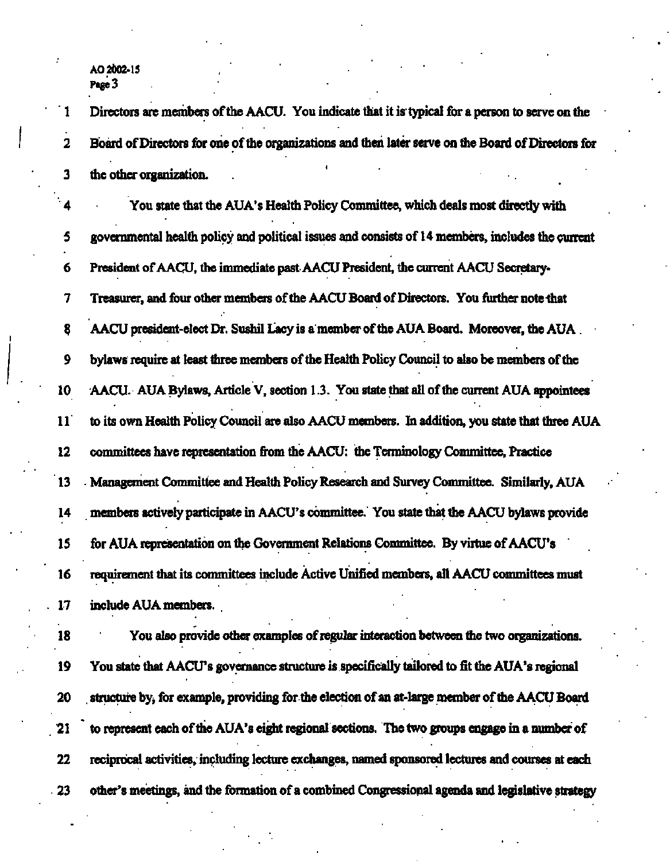**1 Directors are members of the AACU. You indicate that it is typical for a person to serve on the 2 Board of Directors for one of the organizations and then later serve on the Board of Directors for 3 the other organization.** 

**4 You state that the AUA's Health Policy Committee, which deals most directly with 5 governmental health policy and political issues and consists of 14 members, includes the current 6 President of AACU, the immediate past AACU President, the current AACU Secretary-7 Treasurer, and four other members of the AACU Board of Directors. You further note that 3 AACU president-elect Dr. Sushil Lacy is a member of the AUA Board. Moreover, the AUA 9 bylaws require at least three members of the Health Policy Council to also be members of the 10 AACU. AUA Bylaws, Article V, section 1.3. You state that all of the current AUA appointees 11 to its own Health Policy Council are also AACU members. In addition, you state that three AUA 12 committees have representation from the AACU: the Terminology Committee, Practice 13 Management Committee and Health Policy Research and Survey Committee. Similarly, AUA 14 members actively participate in AACU's committee. You state that the AACU bylaws provide 15 for AUA representation on the Government Relations Committee. By virtue of AACU's 16 requirement that its committees include Active Unified members, all AACU committees must 17 include AUA members.** 

**18 You also provide other examples of regular interaction between the two organizations. 19 You state that AACU's governance structure is specifically tailored to fit the AUA's regional 20 . structure by, for example, providing for the election of an at-large member of the AACU Board 21 to represent each of the AUA's eight regional sections. The two groups engage in a number of 22 reciprocal activities, including lecture exchanges, named sponsored lectures and courses at each 23 other's meetings, and the formation of a combined Congressional agenda and legislative strategy**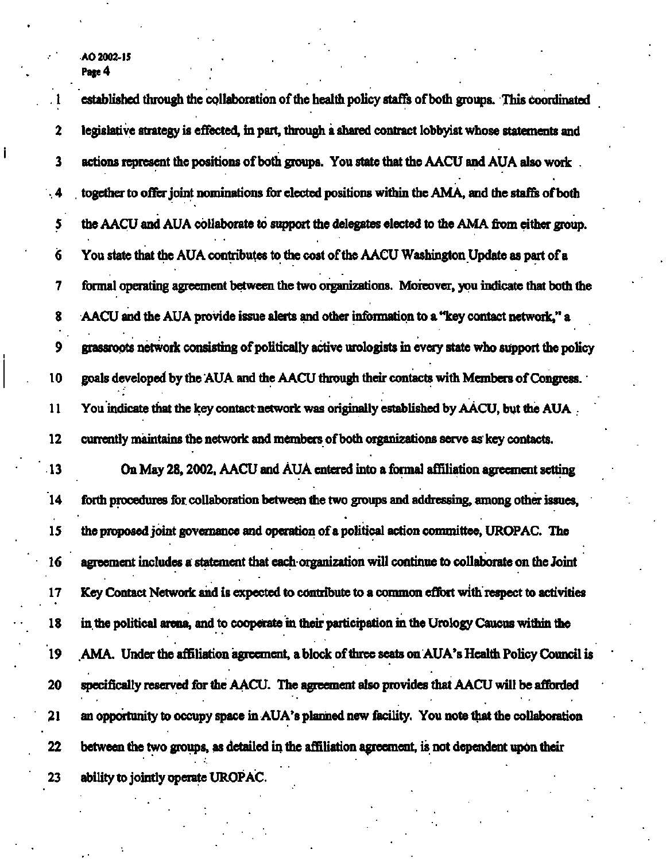**. 1 established through the collaboration of the health policy staffs of both groups. This coordinated 2 legislative strategy is effected, in part, through a shared contract lobbyist whose statements and 3 actions represent the positions of both groups. You state that the AACU and AUA also work . 4 . together to offer joint nominations for elected positions within the AMA, and the staffs of both 5 the AACU and AUA collaborate to support the delegates elected to the AMA from either group.**  *6* **You state that the AUA contributes to the cost of the AACU Washington Update as part of a 7 formal operating agreement between the two organizations. Moreover, you indicate that both the 8 AACU and the AUA provide issue alerts and other information to a "key contact network," a 9 grassroots network consisting of politically active urologists in every state who support the policy 10 goals developed by the AUA and the AACU through their contacts with Members of Congress. 11 You indicate that the key contact network was originally established by AACU, but the AUA 12 currently maintains the network and members of both organizations serve as key contacts. 13 On May 28,2002, AACU and AUA entered into a formal affiliation agreement setting 14 forth procedures for collaboration between the two groups and addressing, among other issues, 15 the proposed joint governance and operation of a political action committee, UROPAC. The 16 agreement includes a statement that each organization will continue to collaborate on the Joint 17 Key Contact Network and is expected to contribute to a common effort with respect to activities 18 in the political arena, and to cooperate in their participation in the Urology Caucus within the 19 AMA. Under the affiliation agreement, a block of three seats on AUA's Health Policy Council is 20 specifically reserved for the AACU. The agreement also provides that AACU will be afforded 21 an opportunity to occupy space in AUA's planned new facility. You note that the collaboration 22 between the two groups, as detailed in the affiliation agreement, is not dependent upon their 23 ability to jointly operate UROPAC.**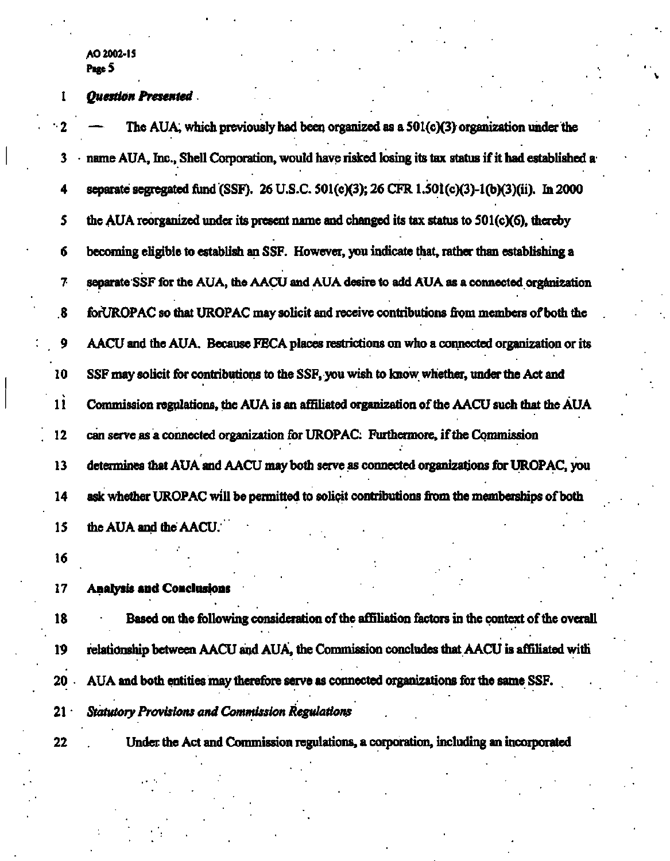# **1** *Question Presented*

| $\cdot$ 2         | The AUA, which previously had been organized as a 501(c)(3) organization under the                 |
|-------------------|----------------------------------------------------------------------------------------------------|
| 3                 | name AUA, Inc., Shell Corporation, would have risked losing its tax status if it had established a |
| 4                 | separate segregated fund (SSF). 26 U.S.C. 501(c)(3); 26 CFR 1.501(c)(3)-1(b)(3)(ii). In 2000       |
| 5                 | the AUA reorganized under its present name and changed its tax status to 501(c)(6), thereby        |
| б                 | becoming eligible to establish an SSF. However, you indicate that, rather than establishing a      |
| 7                 | separate SSF for the AUA, the AACU and AUA desire to add AUA as a connected organization           |
| $\boldsymbol{.8}$ | forUROPAC so that UROPAC may solicit and receive contributions from members of both the            |
| 9                 | AACU and the AUA. Because FECA places restrictions on who a connected organization or its          |
| 10                | SSF may solicit for contributions to the SSF, you wish to know whether, under the Act and          |
| $\mathbf{11}$     | Commission regulations, the AUA is an affiliated organization of the AACU such that the AUA        |
| 12                | can serve as a connected organization for UROPAC. Furthermore, if the Commission                   |
| 13                | determines that AUA and AACU may both serve as connected organizations for UROPAC, you             |
| 14                | ask whether UROPAC will be permitted to solicit contributions from the memberships of both         |
| 15                | the AUA and the AACU.                                                                              |
| 16                |                                                                                                    |
| 17                | <b>Analysis and Conclusions</b>                                                                    |
| 18                | Based on the following consideration of the affiliation factors in the context of the overall      |
| 19                | relationship between AACU and AUA, the Commission concludes that AACU is affiliated with           |
| 20 <sub>1</sub>   | AUA and both entities may therefore serve as connected organizations for the same SSF.             |
| $21 -$            | <b>Statutory Provisions and Commission Regulations</b>                                             |

22 Under the Act and Commission regulations, a corporation, including an incorporated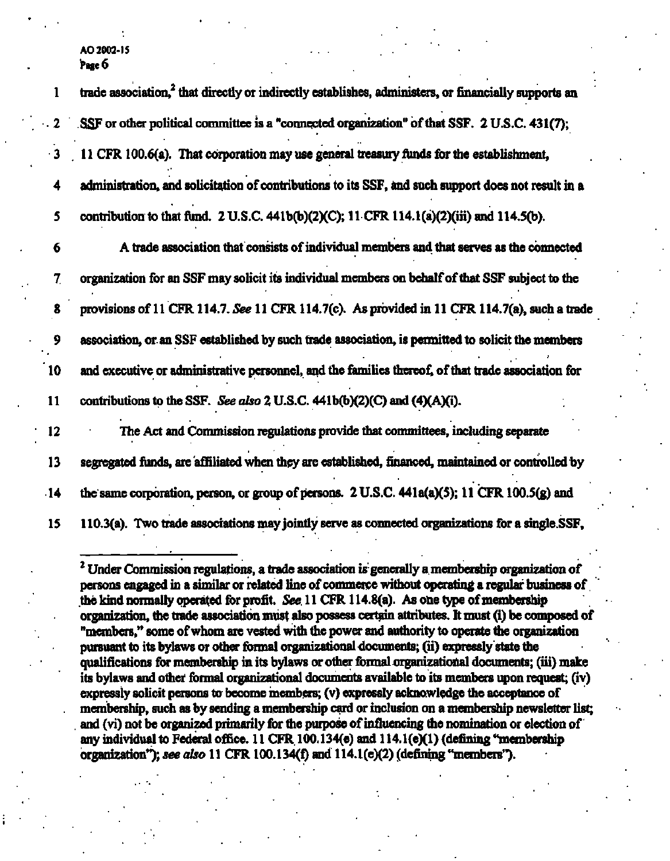| $\mathbf{1}$ | trade association, <sup>2</sup> that directly or indirectly establishes, administers, or financially supports an |
|--------------|------------------------------------------------------------------------------------------------------------------|
| $\mathbf{2}$ | SSF or other political committee is a "connected organization" of that SSF. 2 U.S.C. 431(7);                     |
| $\cdot$ 3    | 11 CFR 100.6(a). That corporation may use general treasury funds for the establishment,                          |
| 4            | administration, and solicitation of contributions to its SSF, and such support does not result in a              |
| 5            | contribution to that fund. 2 U.S.C. 441b(b)(2)(C); 11 CFR 114.1(a)(2)(iii) and 114.5(b).                         |
| 6            | A trade association that consists of individual members and that serves as the connected                         |
| 7.           | organization for an SSF may solicit its individual members on behalf of that SSF subject to the                  |
| 8            | provisions of 11 CFR 114.7. See 11 CFR 114.7(c). As provided in 11 CFR 114.7(a), such a trade                    |
| 9            | association, or an SSF established by such trade association, is permitted to solicit the members                |
| 10           | and executive or administrative personnel, and the families thereof, of that trade association for               |
| 11           | contributions to the SSF. See also 2 U.S.C. 441b(b)(2)(C) and (4)(A)(i).                                         |
| 12           | The Act and Commission regulations provide that committees, including separate                                   |
| 13           | segregated funds, are affiliated when they are established, financed, maintained or controlled by                |
| $\cdot$ 14   | the same corporation, person, or group of persons. 2 U.S.C. 441a(a)(5); 11 CFR 100.5(g) and                      |
| 15           | 110.3(a). Two trade associations may jointly serve as connected organizations for a single SSF,                  |
|              |                                                                                                                  |

**2 Under Commission regulations, a trade association is generally a membership organization of persons engaged in a similar or related line of commerce without operating a regular business of the kind normally operated for profit.** *See* **11 CFR 114.8(a). As one type of membership organization, the trade association must also possess certain attributes. It must (i) be composed of "members,'\* some of whom are vested with the power and authority to operate the organization pursuant to its bylaws or other formal organizational documents; (ii) expressly state the qualifications for membership in its bylaws or other formal organizational documents; (iii) make its bylaws and other formal organizational documents available to its members upon request; (iv) expressly solicit persons to become members; (v) expressly acknowledge the acceptance of membership, such as by sending a membership card or inclusion on a membership newsletter list; . and (vi) not be organized primarily for the purpose of influencing the nomination or election of any individual to Federal office. 11 CFR 100.134(e) and 114.1(e)(1) (defining "membership organization");** *see also* **11 CFR 100.134(f) and 114.1(e)(2) (defining "members").**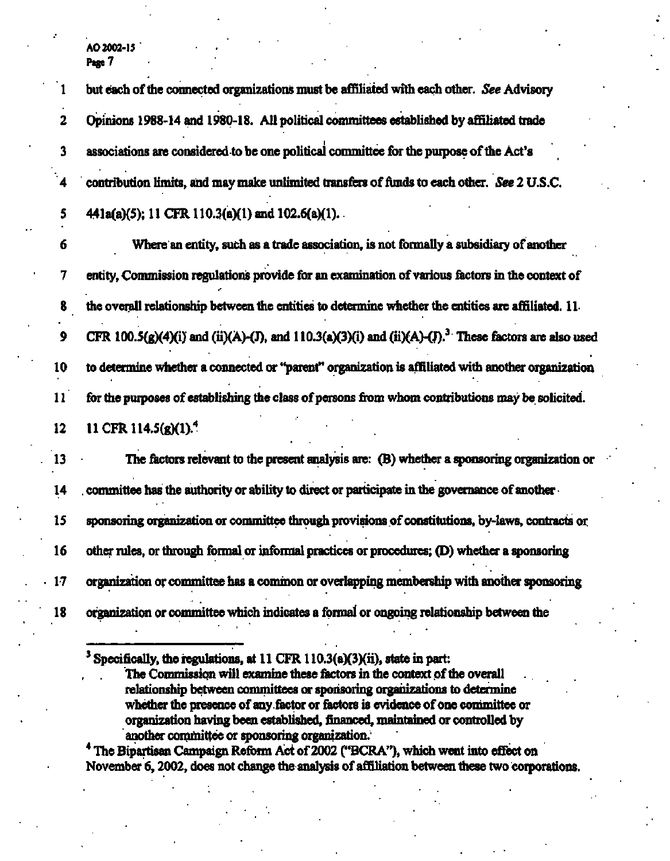| ı                | but each of the connected organizations must be affiliated with each other. See Advisory                         |
|------------------|------------------------------------------------------------------------------------------------------------------|
| $\mathbf{2}$     | Opinions 1988-14 and 1980-18. All political committees established by affiliated trade                           |
| 3                | associations are considered to be one political committee for the purpose of the Act's                           |
| 4                | contribution limits, and may make unlimited transfers of funds to each other. See 2 U.S.C.                       |
| 5                | 441a(a)(5); 11 CFR 110.3(a)(1) and 102.6(a)(1).                                                                  |
| 6                | Where an entity, such as a trade association, is not formally a subsidiary of another                            |
| 7                | entity, Commission regulations provide for an examination of various factors in the context of                   |
| 8                | the overall relationship between the entities to determine whether the entities are affiliated. 11.              |
| $\boldsymbol{9}$ | CFR 100.5(g)(4)(i) and (ii)(A)-(J), and 110.3(a)(3)(i) and (ii)(A)-(J). <sup>3</sup> These factors are also used |
| 10               | to determine whether a connected or "parent" organization is affiliated with another organization                |
| 11               | for the purposes of establishing the class of persons from whom contributions may be solicited.                  |
| 12               | 11 CFR 114.5(g)(1). <sup>4</sup>                                                                                 |
| 13               | The factors relevant to the present analysis are: (B) whether a sponsoring organization or                       |
| 14               | committee has the authority or ability to direct or participate in the governance of another -                   |
| 15               | sponsoring organization or committee through provisions of constitutions, by-laws, contracts or                  |
| 16               | other rules, or through formal or informal practices or procedures; (D) whether a sponsoring                     |
| 17               | organization or committee has a common or overlapping membership with another sponsoring                         |
| 18               | organization or committee which indicates a formal or ongoing relationship between the                           |
|                  |                                                                                                                  |

<sup>&</sup>lt;sup>3</sup> Specifically, the regulations, at 11 CFR 110.3(a)(3)(ii), state in part:

**4 The Bipartisan Campaign Reform Act of 2002 ("BCRA"), which went into effect on November 6,2002, does not change the analysis of affiliation between these two corporations.** 

The Commission will examine these factors in the context of the overall **relationship between committees or sponsoring organizations to determine whether the presence of any factor or factors is evidence of one committee or organization having been established, financed, maintained or controlled by another committee or sponsoring organization.**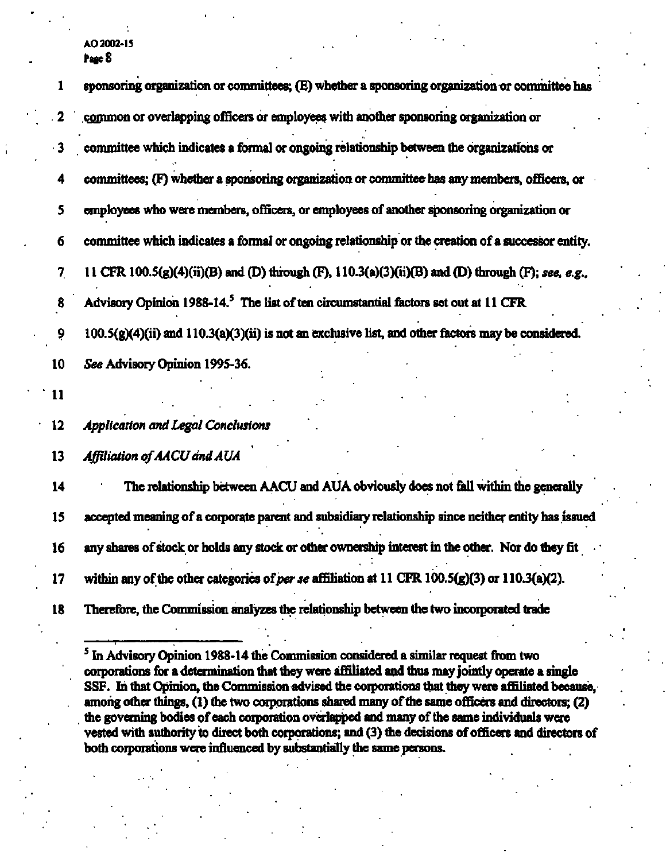| 1         | sponsoring organization or committees; (E) whether a sponsoring organization or committee has       |
|-----------|-----------------------------------------------------------------------------------------------------|
| -2        | common or overlapping officers or employees with another sponsoring organization or                 |
| $\cdot$ 3 | committee which indicates a formal or ongoing relationship between the organizations or             |
| 4         | committees; (F) whether a sponsoring organization or committee has any members, officers, or        |
| 5         | employees who were members, officers, or employees of another sponsoring organization or            |
| 6         | committee which indicates a formal or ongoing relationship or the creation of a successor entity.   |
| 7         | 11 CFR 100.5(g)(4)(ii)(B) and (D) through (F), 110.3(a)(3)(ii)(B) and (D) through (F); see, e.g.,   |
| 8         | Advisory Opinion 1988-14. <sup>5</sup> The list of ten circumstantial factors set out at 11 CFR     |
| 9         | 100.5(g)(4)(ii) and 110.3(a)(3)(ii) is not an exclusive list, and other factors may be considered.  |
| 10        | See Advisory Opinion 1995-36.                                                                       |
| 11        |                                                                                                     |
| $12 \,$   | <b>Application and Legal Conclusions</b>                                                            |
| 13        | Affiliation of AACU and AUA                                                                         |
| 14        | The relationship between AACU and AUA obviously does not fall within the generally                  |
| 15        | accepted meaning of a corporate parent and subsidiary relationship since neither entity has issued  |
| 16        | any shares of stock or holds any stock or other ownership interest in the other. Nor do they fit    |
| 17        | within any of the other categories of per se affiliation at 11 CFR $100.5(g)(3)$ or $110.3(a)(2)$ . |
| 18        | Therefore, the Commission analyzes the relationship between the two incorporated trade              |
|           |                                                                                                     |

<sup>&</sup>lt;sup>5</sup> In Advisory Opinion 1988-14 the Commission considered a similar request from two **corporations for a determination that they were affiliated and thus may jointly operate a single SSF. In that Opinion, the Commission advised the corporations that they were affiliated because, among other things, (1) the two corporations shared many of the same officers and directors; (2) the governing bodies of each corporation overlapped and many of the same individuals were vested with authority to direct both corporations; and (3) the decisions of officers and directors of both corporations were influenced by substantially the same persons.**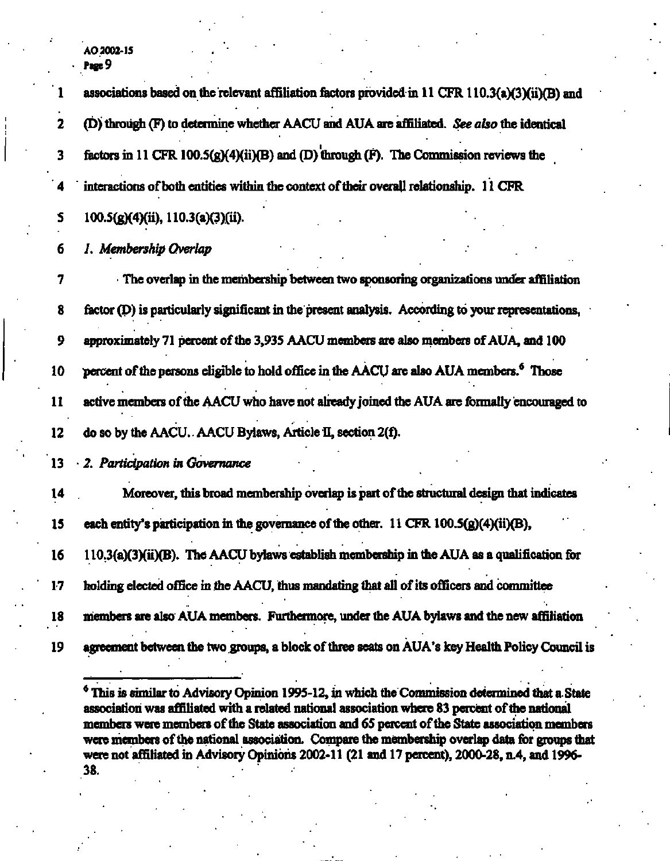|    | associations based on the relevant affiliation factors provided in 11 CFR 110.3(a)(3)(ii)(B) and    |
|----|-----------------------------------------------------------------------------------------------------|
| 2  | (D) through (F) to determine whether AACU and AUA are affiliated. See also the identical            |
| 3  | factors in 11 CFR 100.5( $g$ )( $4$ )(ii)(B) and (D) through (F). The Commission reviews the        |
| 4  | interactions of both entities within the context of their overall relationship. 11 CFR              |
| 5  | 100.5(g)(4)(ii), 110.3(a)(3)(ii).                                                                   |
| 6  | 1. Membership Overlap                                                                               |
| 7  | The overlap in the membership between two sponsoring organizations under affiliation                |
| 8  | factor (D) is particularly significant in the present analysis. According to your representations,  |
| 9  | approximately 71 percent of the 3,935 AACU members are also members of AUA, and 100                 |
| 10 | percent of the persons eligible to hold office in the AACU are also AUA members. <sup>6</sup> Those |
| 11 | active members of the AACU who have not already joined the AUA are formally encouraged to           |
| 12 | do so by the AACU. AACU Bylaws, Article II, section 2(f).                                           |
| 13 | 2. Participation in Governance                                                                      |
| 14 | Moreover, this broad membership overlap is part of the structural design that indicates             |
| 15 | each entity's participation in the governance of the other. 11 CFR $100.5(g)(4)(ii)(B)$ ,           |
| 16 | 110.3(a)(3)(ii)(B). The AACU bylaws establish membership in the AUA as a qualification for          |
| 17 | holding elected office in the AACU, thus mandating that all of its officers and committee           |
| 18 | members are also AUA members. Furthermore, under the AUA bylaws and the new affiliation             |
| 19 | agreement between the two groups, a block of three seats on AUA's key Health Policy Council is      |

**6 This is similar to Advisory Opinion 1995-12, in which the Commission determined that a State association was affiliated with a related national association where 83 percent of the national members were members of the State association and 65 percent of the State association members were members of the national association. Compare the membership overlap data for groups that were not affiliated in Advisory Opinions 2002-11 (21 and 17 percent), 2000-28, n.4, and 1996- 38.**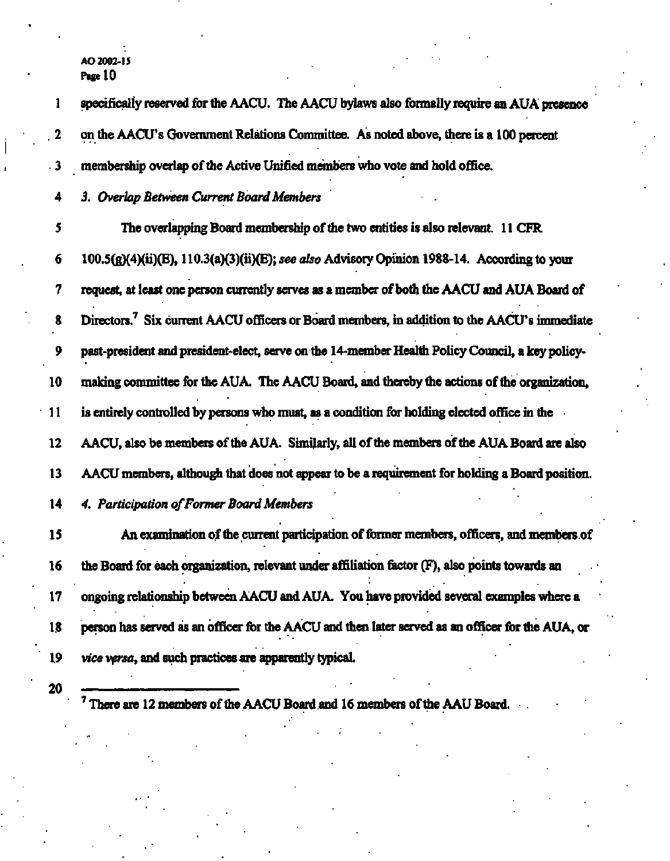1 specifically reserved for the AACU. The AACU bylaws also formally require an AUA presence **2 on the AACU's Government Relations Committee. As noted above, there is a 100 percent • 3** membership overlap of the Active Unified members who vote and hold office. **4** *3. Overlap Between Current Board Members 5* **The overlapping Board membership of the two entities is also relevant. 11 CFR 6 100.5(g)(4)(ii)(E), 110.3(a)(3)(ii)(E);** *see also* **Advisory Opinion 1988-14. According to your 7** request, at least one person currently serves as a member of both the AACU and AUA Board of **8 Directors.<sup>7</sup> Six current AACU officers or Board members, in addition to the AACU's immediate 9 past-president and president-elect, serve on the 14-member Health Policy Council, a key policy-**10 making committee for the AUA. The AACU Board, and thereby the actions of the organization, **11 is entirely controlled by persons who must, as a condition for holding elected office in the**  12 AACU, also be members of the AUA. Similarly, all of the members of the AUA Board are also **13 AACU members, although that does not appear to be a requirement for holding a Board position. 14** *4. Participation of Former Board Members*  15 An examination of the current participation of former members, officers, and members of **16 the Board for each organization, relevant under affiliation factor (F), also points towards an**  17 ongoing relationship between AACU and AUA. You have provided several examples where a **18 person has served as an officer for the AACU and then later served as an officer for the AUA, or 19** *vice versa,* **and such practices are apparently typical. 20 7** There are 12 members of the AACU Board and 16 members of the AAU Board.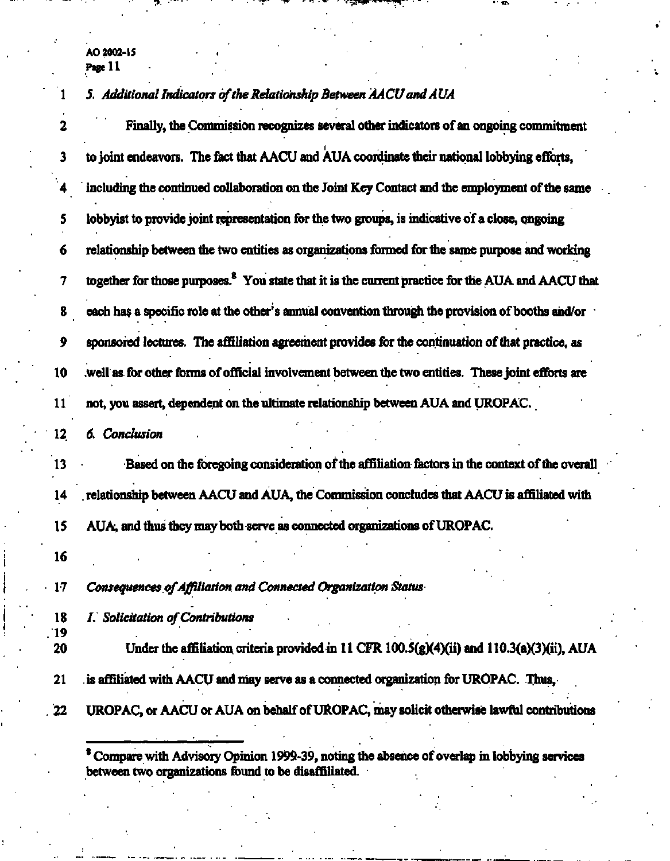### **1** *5. Additional Indicators of the Relationship Between AA CU and A UA*

**2 Finally, the Commission recognizes several other indicators of an ongoing commitment 3 to joint endeavors. The fact that AACU and AUA coordinate their national lobbying efforts, 4 including the continued collaboration on the Joint Key Contact and the employment of the same 5 lobbyist to provide joint representation for the two groups, is indicative of a close, ongoing 6 relationship between the two entities as organizations formed for the same purpose and working 7 together for those purposes.<sup>8</sup> You state that it is the current practice for the AUA and AACU that 8 each has a specific role at the other's annual convention through the provision of booths and/or 9 sponsored lectures. The affiliation agreement provides for the continuation of that practice, as 10 .well as for other forms of official involvement between the two entities. These joint efforts are 11 not, you assert, dependent on the ultimate relationship between AUA and UROPAC. 12** *6. Conclusion*  **13 Based on the foregoing consideration of the affiliation factors in the context of the overall 14 . relationship between AACU and AUA, the Commission concludes that AACU is affiliated with 15 AUA, and thus they may both serve as connected organizations of UROPAC. 16 17** *Consequences of Affiliation and Connected Organization Status*  **18** *1. Solicitation of Contributions*  **19 20 Under the affiliation criteria provided in 11 CFR 100.5(g)(4)(ii) and 110.3(a)(3)(ii), AUA 21 is affiliated with AACU and may serve as a connected organization for UROPAC. Thus, 22 UROPAC, or AACU or AUA on behalf of UROPAC, may solicit otherwise lawful contributions 8 Compare with Advisory Opinion 1999-39, noting the absence of overlap in lobbying services** 

**between two organizations found to be disaffiliated. .**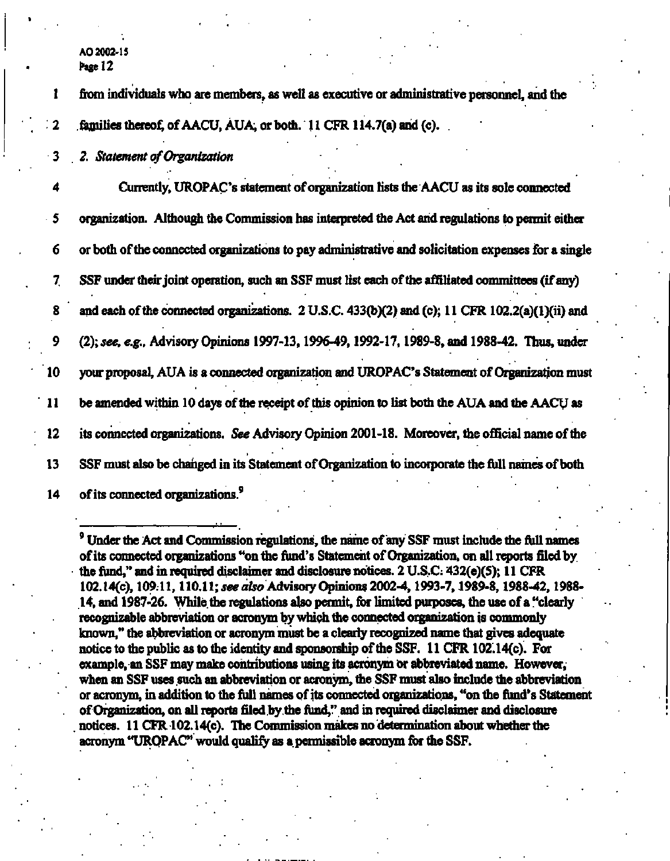**AO2002-1S Page 12** 

**1 from individuals who are members, as well as executive or administrative personnel, and the 2 families thereof, ofAACU,AUA, or both. 11 CFR 114.7(a) and (c).** 

**3** *2. Statement of Organization* 

**4 Currently, UROPAC's statement of organization lists the AACU as its sole connected 5 organization. Although the Commission has interpreted the Act and regulations to permit either 6 or both of the connected organizations to pay admimstrative and solicitation expenses for a single 7 SSF under their joint operation, such an SSF must list each of the affiliated committees (if any) 8 and each of the connected orgamzations. 2 U.S.C. 433(b)(2) and (c); 11 CFR 102.2(a)(l)(ii) and 9 (2);** *see, e.g.,* **Advisory Opinions 1997-13,1996-49,1992-17,1989-8, and 1988-42. Thus, under 10 your proposal, AUA is a connected organization and UROPAC's Statement of Organization must 11 be amended within 10 days of the receipt of this opinion to list both the AUA and the AACU as 12 its connected organizations. See Advisory Opinion 2001-18. Moreover, the official name of the 13 SSF must also be changed in its Statement of Organization to incorporate the full names of both 14 of its connected organizations.<sup>9</sup>**

**Under the Act and Commission regulations, the name of any SSF must include the full names of its connected organizations "on the fund's Statement of Organization, on all reports filed by. the fund," and in required disclaimer and disclosure notices. 2 U.S.C; 432(e)(5); 11 CFR 102.14(c), 109.11,110.11;** *see also* **Advisory Opinions 2002-4,1993-7,1989-8,1988-42,1988- 14, and 1987-26. While the regulations also permit, for limited purposes, the use of a "clearly recognizable abbreviation or acronym by which the connected organization is commonly known," the abbreviation or acronym must be a clearly recognized name that gives adequate notice to the public as to the identity and sponsorship of the SSF. 11 CFR 102.14(c). For example, an SSF may make contributions using its acronym or abbreviated name. However, when an SSF uses such an abbreviation or acronym, the SSF must also include the abbreviation or acronym, in addition to the full names of its connected organizations, "on the fund's Statement of Organization, on all reports filed by the fund," and in required disclaimer and disclosure notices. 11 CFR 102.14(c). The Commission makes no determination about whether the acronym "UROPAC" would qualify as a permissible acronym for the SSF.**